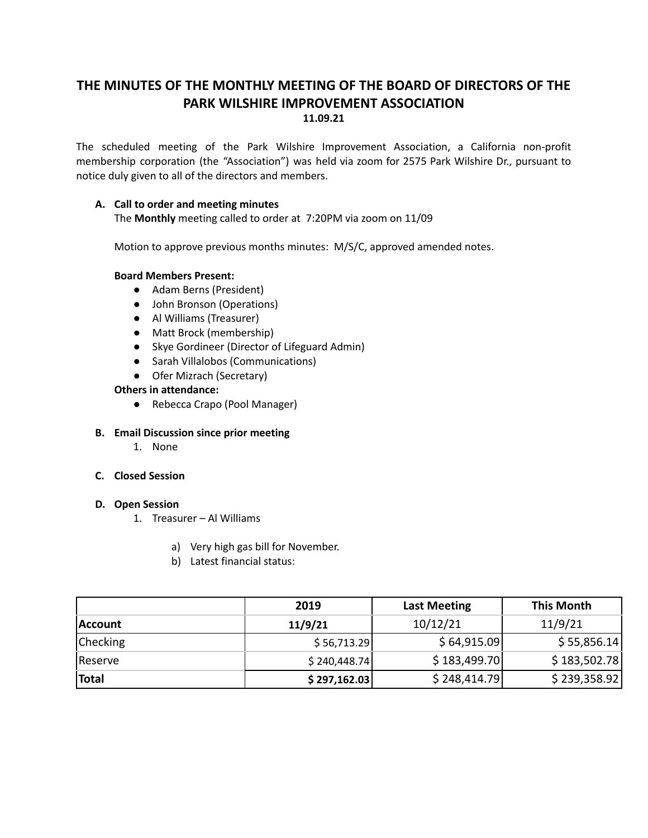# **THE MINUTES OF THE MONTHLY MEETING OF THE BOARD OF DIRECTORS OF THE PARK WILSHIRE IMPROVEMENT ASSOCIATION 11.09.21**

The scheduled meeting of the Park Wilshire Improvement Association, a California non-profit membership corporation (the "Association") was held via zoom for 2575 Park Wilshire Dr., pursuant to notice duly given to all of the directors and members.

# **A. Call to order and meeting minutes**

The **Monthly** meeting called to order at 7:20PM via zoom on 11/09

Motion to approve previous months minutes: M/S/C, approved amended notes.

## **Board Members Present:**

- Adam Berns (President)
- John Bronson (Operations)
- **●** Al Williams (Treasurer)
- Matt Brock (membership)
- Skye Gordineer (Director of Lifeguard Admin)
- Sarah Villalobos (Communications)
- Ofer Mizrach (Secretary)

# **Others in attendance:**

● Rebecca Crapo (Pool Manager)

## **B. Email Discussion since prior meeting**

1. None

## **C. Closed Session**

#### **D. Open Session**

- 1. Treasurer Al Williams
	- a) Very high gas bill for November.
	- b) Latest financial status:

|                 | 2019          | <b>Last Meeting</b> | <b>This Month</b> |
|-----------------|---------------|---------------------|-------------------|
| Account         | 11/9/21       | 10/12/21            | 11/9/21           |
| <b>Checking</b> | \$56,713.29   | \$64,915.09         | \$55,856.14       |
| Reserve         | \$240,448.74] | \$183,499.70        | \$183,502.78      |
| Total           | \$297,162.03  | \$248,414.79        | \$239,358.92      |